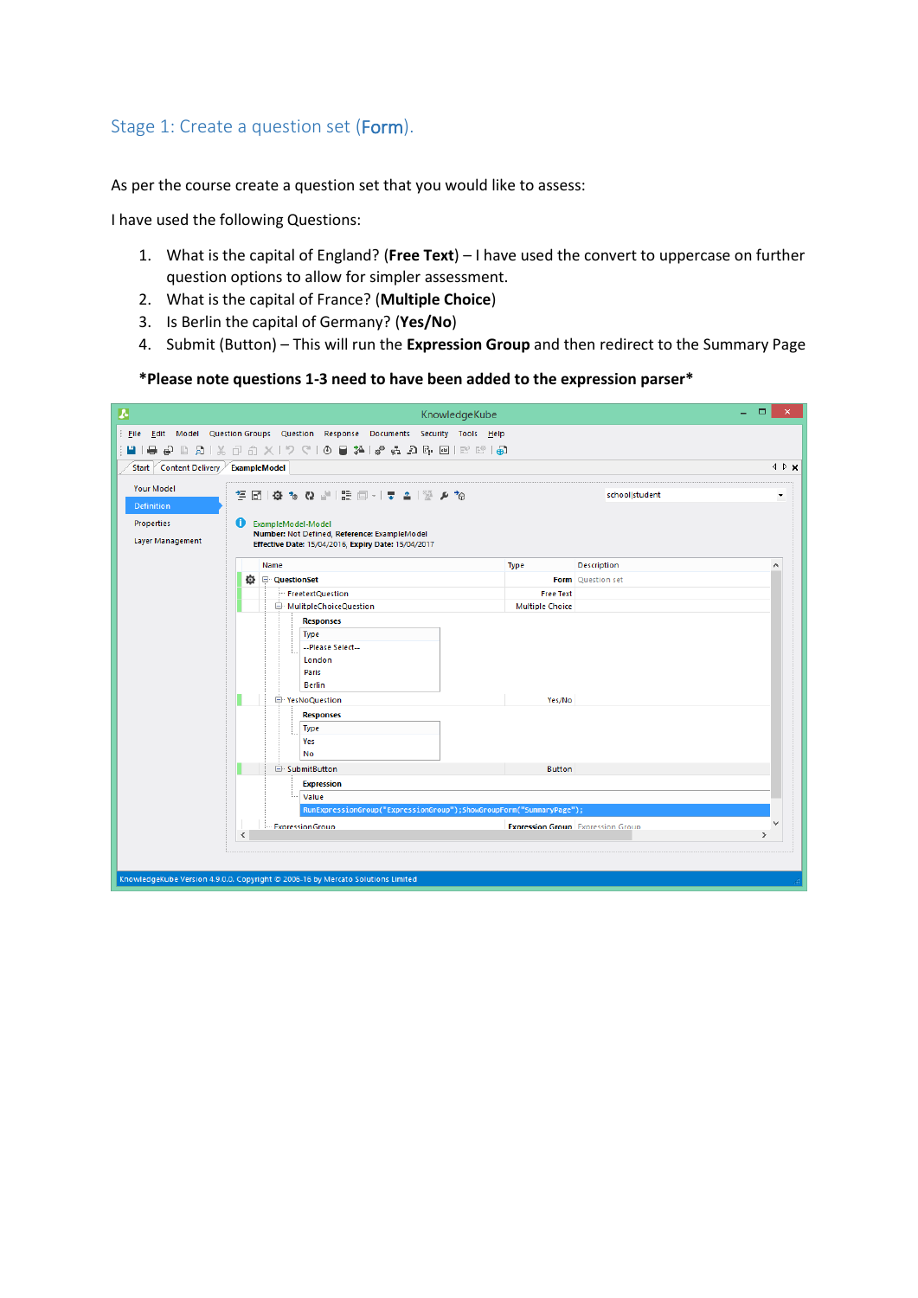## Stage 1: Create a question set (Form).

As per the course create a question set that you would like to assess:

I have used the following Questions:

- 1. What is the capital of England? (**Free Text**) I have used the convert to uppercase on further question options to allow for simpler assessment.
- 2. What is the capital of France? (**Multiple Choice**)
- 3. Is Berlin the capital of Germany? (**Yes/No**)
- 4. Submit (Button) This will run the **Expression Group** and then redirect to the Summary Page

**\*Please note questions 1-3 need to have been added to the expression parser\***

| A                                       | KnowledgeKube                                                                                                                  |                                          |                    | ▭             |
|-----------------------------------------|--------------------------------------------------------------------------------------------------------------------------------|------------------------------------------|--------------------|---------------|
| <b>Eile</b>                             | Edit Model Question Groups Question Response Documents Security Tools Help                                                     |                                          |                    |               |
| u i<br>▄.                               |                                                                                                                                |                                          |                    |               |
| Content Delivery ExampleModel<br>Start  |                                                                                                                                |                                          |                    | 4 D x         |
| <b>Your Model</b><br>☆▲※ ▲〒 →国語 聖母が森 図写 | ۰                                                                                                                              |                                          |                    |               |
| Definition                              |                                                                                                                                |                                          |                    |               |
| <b>Properties</b><br>Layer Management   | o<br>ExampleModel-Model<br>Number: Not Defined, Reference: ExampleModel<br>Effective Date: 15/04/2016, Expiry Date: 15/04/2017 |                                          |                    |               |
|                                         | Name                                                                                                                           | <b>Type</b>                              | <b>Description</b> | A             |
|                                         | <b>①</b> □ QuestionSet                                                                                                         |                                          | Form Question set  |               |
|                                         | FreetextQuestion                                                                                                               | <b>Free Text</b>                         |                    |               |
|                                         | MulitpleChoiceQuestion                                                                                                         | <b>Multiple Choice</b>                   |                    |               |
|                                         | <b>Responses</b><br><b>Type</b><br>--Please Select--<br>London<br>Paris<br><b>Berlin</b><br>P YesNoQuestion                    | Yes/No                                   |                    |               |
|                                         | <b>Responses</b><br><b>Type</b><br>Yes<br>No                                                                                   |                                          |                    |               |
|                                         | □ SubmitButton                                                                                                                 | <b>Button</b>                            |                    |               |
|                                         | <b>Expression</b>                                                                                                              |                                          |                    |               |
|                                         | Value                                                                                                                          |                                          |                    |               |
|                                         | RunExpressionGroup("ExpressionGroup");ShowGroupForm("SummaryPage");                                                            |                                          |                    | $\checkmark$  |
|                                         | <b>ExpressionGroup</b><br>$\epsilon$                                                                                           | <b>Expression Group</b> Expression Group |                    | $\rightarrow$ |
|                                         |                                                                                                                                |                                          |                    |               |
|                                         | KnowledgeKube Version 4.9.0.0. Copyright @ 2006-16 by Mercato Solutions Limited                                                |                                          |                    |               |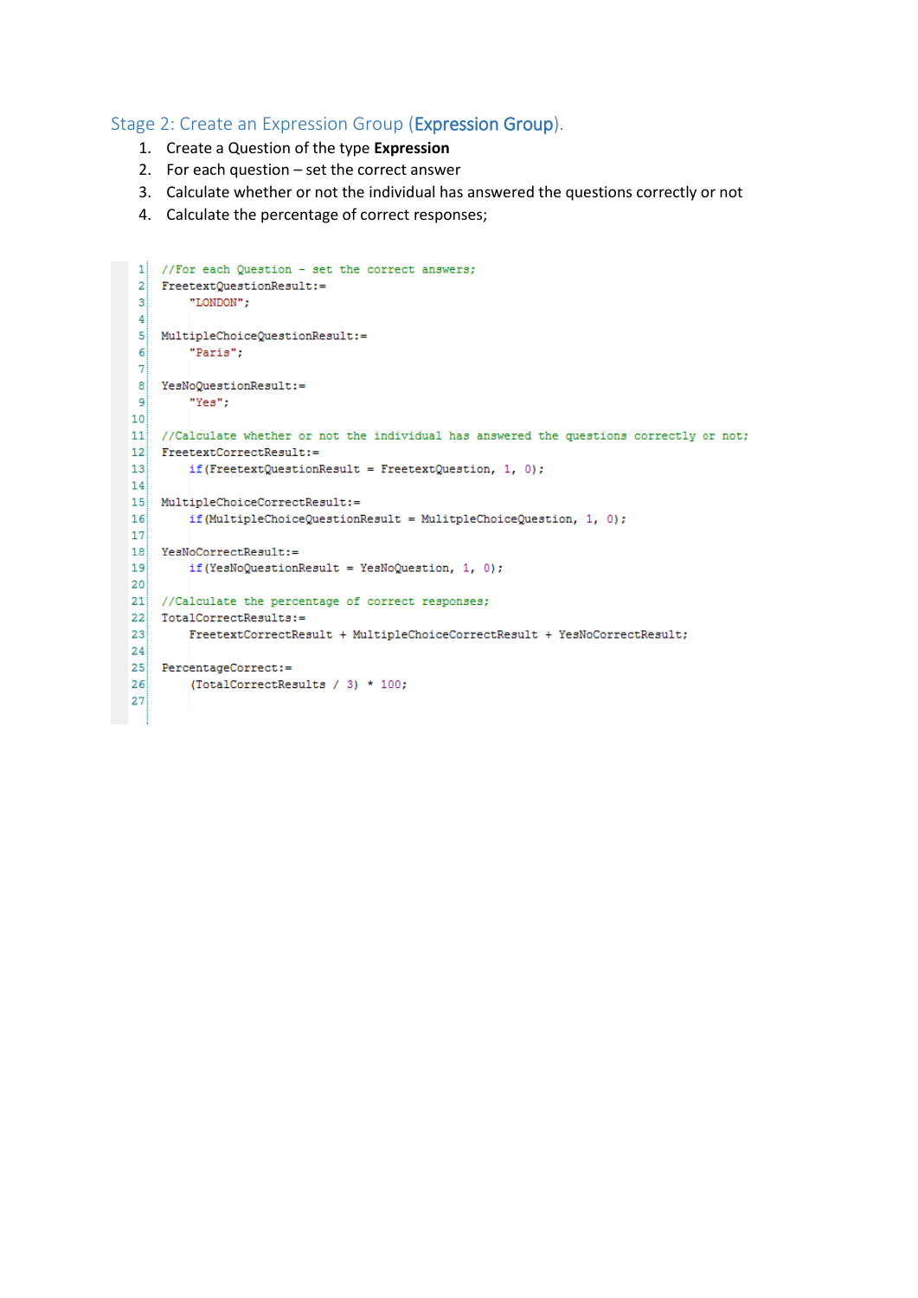## Stage 2: Create an Expression Group (Expression Group).

- 1. Create a Question of the type **Expression**
- 2. For each question set the correct answer
- 3. Calculate whether or not the individual has answered the questions correctly or not
- 4. Calculate the percentage of correct responses;

```
1 //For each Question - set the correct answers;
 \overline{2}FreetextQuestionResult:=
 \vert3
         "LONDON";
 \vert 4 \vert5 MultipleChoiceQuestionResult:=
 6<sup>1</sup>"Paris";
 \overline{7}8 YesNoQuestionResult:=
9
         "Yes";
10<sub>1</sub>11 //Calculate whether or not the individual has answered the questions correctly or not;
12 FreetextCorrectResult:=
|13|if(FreetextQuestionResult = FreetextQuestion, 1, 0);
|14|15 MultipleChoiceCorrectResult:=
16if(MultipleChoiceQuestionResult = MulitpleChoiceQuestion, 1, 0);
17
18 \begin{array}{|l} \hline \texttt{YesNoCorrectResult:}= \end{array}19<sup>1</sup>if(YesNoQuestionResult = YesNoQuestion, 1, 0);
|20|21 //Calculate the percentage of correct responses;
22 TotalCorrectResults:=
23FreetextCorrectResult + MultipleChoiceCorrectResult + YesNoCorrectResult;
|24|25 PercentageCorrect:=
26
       (TotalCorrectResults / 3) * 100;
27
```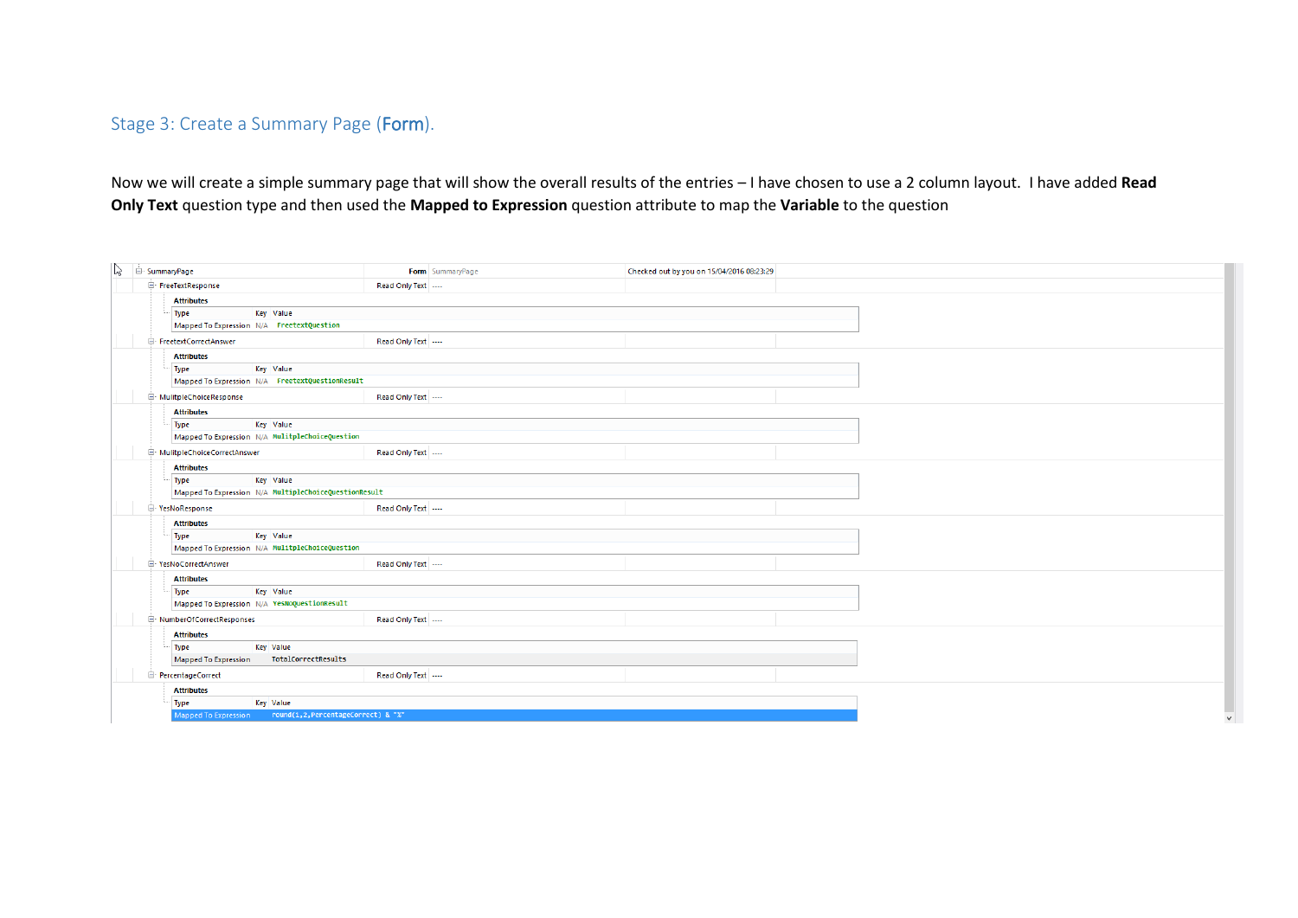## Stage 3: Create a Summary Page (Form).

Now we will create a simple summary page that will show the overall results of the entries – I have chosen to use a 2 column layout. I have added **Read Only Text** question type and then used the **Mapped to Expression** question attribute to map the **Variable** to the question

| $\mathbb{Z}$                                             | $\mathbf{u}$ SummaryPage                                                                                                                                                                                                                | Form SummaryPage                      | Checked out by you on 15/04/2016 08:23:29 |  |  |  |
|----------------------------------------------------------|-----------------------------------------------------------------------------------------------------------------------------------------------------------------------------------------------------------------------------------------|---------------------------------------|-------------------------------------------|--|--|--|
|                                                          | FreeTextResponse                                                                                                                                                                                                                        | Read Only Text ----                   |                                           |  |  |  |
|                                                          | <b>Attributes</b>                                                                                                                                                                                                                       |                                       |                                           |  |  |  |
|                                                          | Type<br>Key Value                                                                                                                                                                                                                       |                                       |                                           |  |  |  |
|                                                          | Mapped To Expression N/A FreetextQuestion                                                                                                                                                                                               |                                       |                                           |  |  |  |
|                                                          | FreetextCorrectAnswer                                                                                                                                                                                                                   | Read Only Text ---                    |                                           |  |  |  |
|                                                          | <b>Attributes</b>                                                                                                                                                                                                                       |                                       |                                           |  |  |  |
|                                                          | Type<br>Key Value                                                                                                                                                                                                                       |                                       |                                           |  |  |  |
|                                                          | Mapped To Expression N/A FreetextQuestionResult                                                                                                                                                                                         |                                       |                                           |  |  |  |
|                                                          | MulitpleChoiceResponse                                                                                                                                                                                                                  | Read Only Text ----                   |                                           |  |  |  |
|                                                          | <b>Attributes</b>                                                                                                                                                                                                                       |                                       |                                           |  |  |  |
|                                                          | Type<br>Key Value<br>Mapped To Expression N/A MulitpleChoiceQuestion                                                                                                                                                                    |                                       |                                           |  |  |  |
|                                                          | MulitpleChoiceCorrectAnswer                                                                                                                                                                                                             | Read Only Text                        |                                           |  |  |  |
|                                                          | <b>Attributes</b>                                                                                                                                                                                                                       |                                       |                                           |  |  |  |
|                                                          | Key Value<br>Type                                                                                                                                                                                                                       |                                       |                                           |  |  |  |
|                                                          | Mapped To Expression N/A MultipleChoiceQuestionResult                                                                                                                                                                                   |                                       |                                           |  |  |  |
|                                                          | <b>E</b> YesNoResponse                                                                                                                                                                                                                  | Read Only Text                        |                                           |  |  |  |
|                                                          | <b>Attributes</b>                                                                                                                                                                                                                       |                                       |                                           |  |  |  |
|                                                          | Type<br>Key Value                                                                                                                                                                                                                       |                                       |                                           |  |  |  |
|                                                          | Mapped To Expression N/A MulitpleChoiceQuestion                                                                                                                                                                                         |                                       |                                           |  |  |  |
|                                                          | E YesNoCorrectAnswer                                                                                                                                                                                                                    | Read Only Text                        |                                           |  |  |  |
|                                                          | <b>Attributes</b>                                                                                                                                                                                                                       |                                       |                                           |  |  |  |
| Key Value<br>Type                                        |                                                                                                                                                                                                                                         |                                       |                                           |  |  |  |
|                                                          |                                                                                                                                                                                                                                         |                                       |                                           |  |  |  |
|                                                          |                                                                                                                                                                                                                                         |                                       |                                           |  |  |  |
|                                                          |                                                                                                                                                                                                                                         |                                       |                                           |  |  |  |
|                                                          |                                                                                                                                                                                                                                         |                                       |                                           |  |  |  |
|                                                          |                                                                                                                                                                                                                                         |                                       |                                           |  |  |  |
|                                                          |                                                                                                                                                                                                                                         |                                       |                                           |  |  |  |
|                                                          |                                                                                                                                                                                                                                         |                                       |                                           |  |  |  |
| Mapped To Expression round(1,2, PercentageCorrect) & "%" |                                                                                                                                                                                                                                         |                                       |                                           |  |  |  |
|                                                          | Mapped To Expression N/A YesNoQuestionResult<br>NumberOfCorrectResponses<br><b>Attributes</b><br>Type<br>Key Value<br>TotalCorrectResults<br><b>Mapped To Expression</b><br>PercentageCorrect<br><b>Attributes</b><br>Key Value<br>Type | Read Only Text ----<br>Read Only Text |                                           |  |  |  |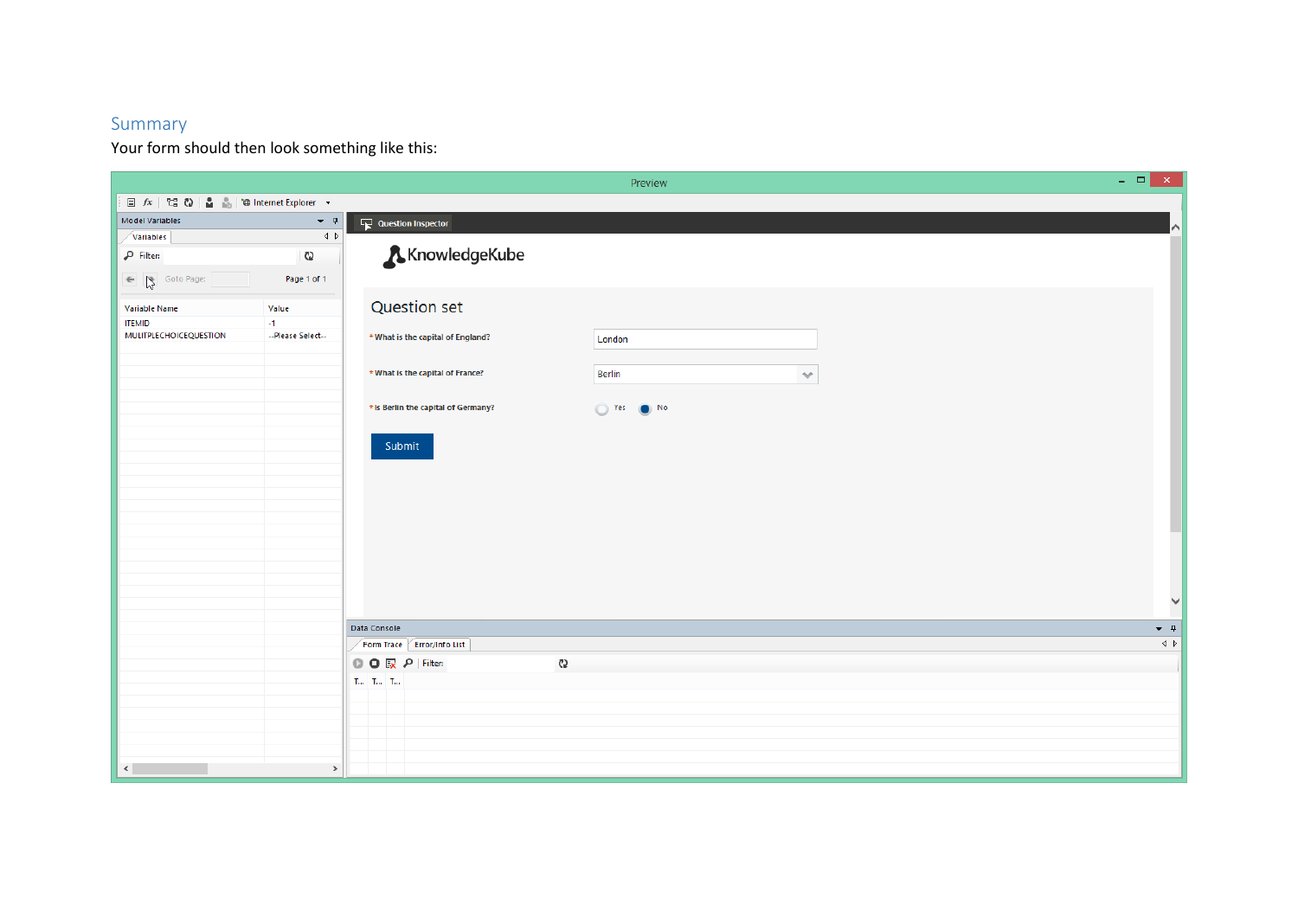## Summary

Your form should then look something like this:

|                                                                             |                                  | Preview                                                    | $\begin{array}{c c c c c} \hline \multicolumn{3}{c }{\mathbf{L}} & \multicolumn{3}{c }{\mathbf{M}} & \multicolumn{3}{c }{\mathbf{M}} & \multicolumn{3}{c }{\mathbf{M}} & \multicolumn{3}{c }{\mathbf{M}} & \multicolumn{3}{c }{\mathbf{M}} & \multicolumn{3}{c }{\mathbf{M}} & \multicolumn{3}{c }{\mathbf{M}} & \multicolumn{3}{c }{\mathbf{M}} & \multicolumn{3}{c }{\mathbf{M}} & \multicolumn{3}{c }{\mathbf{M}} & \multicolumn{3}{c }{\mathbf{M$ |
|-----------------------------------------------------------------------------|----------------------------------|------------------------------------------------------------|-------------------------------------------------------------------------------------------------------------------------------------------------------------------------------------------------------------------------------------------------------------------------------------------------------------------------------------------------------------------------------------------------------------------------------------------------------|
| $\Box$ $fx$   $\Box$ $Q$   $\Box$ $\Box$   $\Box$   thernet Explorer $\Box$ |                                  |                                                            |                                                                                                                                                                                                                                                                                                                                                                                                                                                       |
| <b>Model Variables</b>                                                      | $\bullet$ $\,$ $\,$ $\,$ $\,$    | $\Box$ Question Inspector                                  | $\sim$                                                                                                                                                                                                                                                                                                                                                                                                                                                |
| Variables                                                                   | $\triangleleft$ $\triangleright$ |                                                            |                                                                                                                                                                                                                                                                                                                                                                                                                                                       |
| $\rho$ Filter:                                                              | ැ                                | KnowledgeKube                                              |                                                                                                                                                                                                                                                                                                                                                                                                                                                       |
| ← Soto Page:                                                                | Page 1 of 1                      |                                                            |                                                                                                                                                                                                                                                                                                                                                                                                                                                       |
| Variable Name                                                               | Value                            | Question set                                               |                                                                                                                                                                                                                                                                                                                                                                                                                                                       |
| <b>ITEMID</b>                                                               | $-1$                             |                                                            |                                                                                                                                                                                                                                                                                                                                                                                                                                                       |
| MULITPLECHOICEQUESTION                                                      | --Please Select--                | *What is the capital of England?<br>London                 |                                                                                                                                                                                                                                                                                                                                                                                                                                                       |
|                                                                             |                                  | *What is the capital of France?<br><b>Berlin</b><br>$\sim$ |                                                                                                                                                                                                                                                                                                                                                                                                                                                       |
|                                                                             |                                  | *Is Berlin the capital of Germany?<br>No Yes (C) No        |                                                                                                                                                                                                                                                                                                                                                                                                                                                       |
|                                                                             |                                  | Submit                                                     |                                                                                                                                                                                                                                                                                                                                                                                                                                                       |
|                                                                             |                                  |                                                            |                                                                                                                                                                                                                                                                                                                                                                                                                                                       |
|                                                                             |                                  |                                                            |                                                                                                                                                                                                                                                                                                                                                                                                                                                       |
|                                                                             |                                  |                                                            |                                                                                                                                                                                                                                                                                                                                                                                                                                                       |
|                                                                             |                                  |                                                            |                                                                                                                                                                                                                                                                                                                                                                                                                                                       |
|                                                                             |                                  |                                                            |                                                                                                                                                                                                                                                                                                                                                                                                                                                       |
|                                                                             |                                  |                                                            | $\checkmark$                                                                                                                                                                                                                                                                                                                                                                                                                                          |
|                                                                             |                                  |                                                            |                                                                                                                                                                                                                                                                                                                                                                                                                                                       |
|                                                                             |                                  | Data Console                                               | $\bullet$ $\,$ $\,$ $\,$ $\,$ $\,$                                                                                                                                                                                                                                                                                                                                                                                                                    |
|                                                                             |                                  | Form Trace Error/Info List                                 | $\left\langle \downarrow \right\rangle$                                                                                                                                                                                                                                                                                                                                                                                                               |
|                                                                             |                                  | <b>◎ ◎ 尿 ₽</b> Filter:<br>ĈΩ                               |                                                                                                                                                                                                                                                                                                                                                                                                                                                       |
|                                                                             |                                  | $\langle T_{\rm{res}}-T_{\rm{res}}-T_{\rm{res}}\rangle$    |                                                                                                                                                                                                                                                                                                                                                                                                                                                       |
|                                                                             |                                  |                                                            |                                                                                                                                                                                                                                                                                                                                                                                                                                                       |
|                                                                             |                                  |                                                            |                                                                                                                                                                                                                                                                                                                                                                                                                                                       |
|                                                                             |                                  |                                                            |                                                                                                                                                                                                                                                                                                                                                                                                                                                       |
| $\langle \cdot   \cdot   \cdot  $                                           | $\,$                             |                                                            |                                                                                                                                                                                                                                                                                                                                                                                                                                                       |